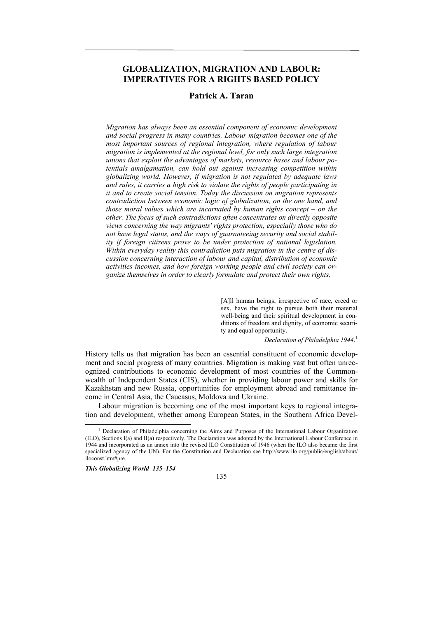# **GLOBALIZATION, MIGRATION AND LABOUR: IMPERATIVES FOR A RIGHTS BASED POLICY**

# **Patrick A. Taran**

*Migration has always been an essential component of economic development and social progress in many countries. Labour migration becomes one of the most important sources of regional integration, where regulation of labour migration is implemented at the regional level, for only such large integration unions that exploit the advantages of markets, resource bases and labour potentials amalgamation, can hold out against increasing competition within globalizing world. However, if migration is not regulated by adequate laws and rules, it carries a high risk to violate the rights of people participating in it and to create social tension. Today the discussion on migration represents contradiction between economic logic of globalization, on the one hand, and those moral values which are incarnated by human rights concept – on the other. The focus of such contradictions often concentrates on directly opposite views concerning the way migrants' rights protection, especially those who do not have legal status, and the ways of guaranteeing security and social stability if foreign citizens prove to be under protection of national legislation. Within everyday reality this contradiction puts migration in the centre of discussion concerning interaction of labour and capital, distribution of economic activities incomes, and how foreign working people and civil society can organize themselves in order to clearly formulate and protect their own rights.* 

> [A]ll human beings, irrespective of race, creed or sex, have the right to pursue both their material well-being and their spiritual development in conditions of freedom and dignity, of economic security and equal opportunity.

> > *Declaration of Philadelphia 1944*. 1

History tells us that migration has been an essential constituent of economic development and social progress of many countries. Migration is making vast but often unrecognized contributions to economic development of most countries of the Commonwealth of Independent States (CIS), whether in providing labour power and skills for Kazakhstan and new Russia, opportunities for employment abroad and remittance income in Central Asia, the Caucasus, Moldova and Ukraine.

Labour migration is becoming one of the most important keys to regional integration and development, whether among European States, in the Southern Africa Devel-

*This Globalizing World 135–154* 

135

 <sup>1</sup>  $<sup>1</sup>$  Declaration of Philadelphia concerning the Aims and Purposes of the International Labour Organization</sup> (ILO), Sections I(a) and II(a) respectively. The Declaration was adopted by the International Labour Conference in 1944 and incorporated as an annex into the revised ILO Constitution of 1946 (when the ILO also became the first specialized agency of the UN). For the Constitution and Declaration see http://www.ilo.org/public/english/about/ iloconst.htm#pre.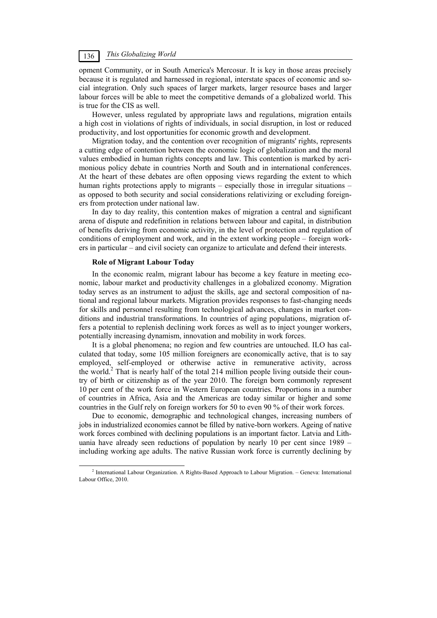opment Community, or in South America's Mercosur. It is key in those areas precisely because it is regulated and harnessed in regional, interstate spaces of economic and social integration. Only such spaces of larger markets, larger resource bases and larger labour forces will be able to meet the competitive demands of a globalized world. This is true for the CIS as well.

However, unless regulated by appropriate laws and regulations, migration entails a high cost in violations of rights of individuals, in social disruption, in lost or reduced productivity, and lost opportunities for economic growth and development.

Migration today, and the contention over recognition of migrants' rights, represents a cutting edge of contention between the economic logic of globalization and the moral values embodied in human rights concepts and law. This contention is marked by acrimonious policy debate in countries North and South and in international conferences. At the heart of these debates are often opposing views regarding the extent to which human rights protections apply to migrants – especially those in irregular situations – as opposed to both security and social considerations relativizing or excluding foreigners from protection under national law.

In day to day reality, this contention makes of migration a central and significant arena of dispute and redefinition in relations between labour and capital, in distribution of benefits deriving from economic activity, in the level of protection and regulation of conditions of employment and work, and in the extent working people – foreign workers in particular – and civil society can organize to articulate and defend their interests.

### **Role of Migrant Labour Today**

In the economic realm, migrant labour has become a key feature in meeting economic, labour market and productivity challenges in a globalized economy. Migration today serves as an instrument to adjust the skills, age and sectoral composition of national and regional labour markets. Migration provides responses to fast-changing needs for skills and personnel resulting from technological advances, changes in market conditions and industrial transformations. In countries of aging populations, migration offers a potential to replenish declining work forces as well as to inject younger workers, potentially increasing dynamism, innovation and mobility in work forces.

It is a global phenomena; no region and few countries are untouched. ILO has calculated that today, some 105 million foreigners are economically active, that is to say employed, self-employed or otherwise active in remunerative activity, across the world.<sup>2</sup> That is nearly half of the total 214 million people living outside their country of birth or citizenship as of the year 2010. The foreign born commonly represent 10 per cent of the work force in Western European countries. Proportions in a number of countries in Africa, Asia and the Americas are today similar or higher and some countries in the Gulf rely on foreign workers for 50 to even 90 % of their work forces.

Due to economic, demographic and technological changes, increasing numbers of jobs in industrialized economies cannot be filled by native-born workers. Ageing of native work forces combined with declining populations is an important factor. Latvia and Lithuania have already seen reductions of population by nearly 10 per cent since 1989 – including working age adults. The native Russian work force is currently declining by

 $\frac{1}{2}$  $<sup>2</sup>$  International Labour Organization. A Rights-Based Approach to Labour Migration. – Geneva: International</sup> Labour Office, 2010.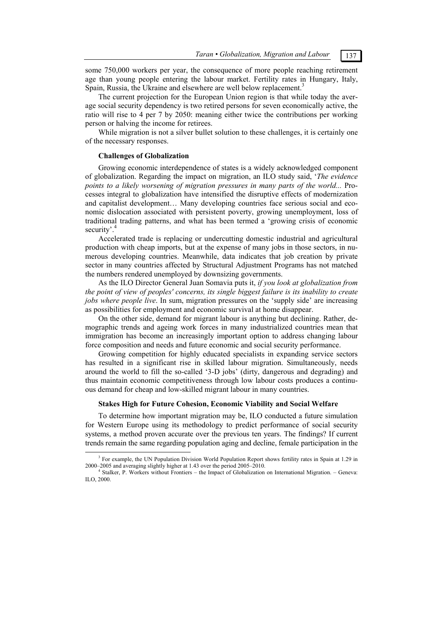some 750,000 workers per year, the consequence of more people reaching retirement age than young people entering the labour market. Fertility rates in Hungary, Italy, Spain, Russia, the Ukraine and elsewhere are well below replacement.<sup>3</sup>

The current projection for the European Union region is that while today the average social security dependency is two retired persons for seven economically active, the ratio will rise to 4 per 7 by 2050: meaning either twice the contributions per working person or halving the income for retirees.

While migration is not a silver bullet solution to these challenges, it is certainly one of the necessary responses.

### **Challenges of Globalization**

Growing economic interdependence of states is a widely acknowledged component of globalization. Regarding the impact on migration, an ILO study said, '*The evidence points to a likely worsening of migration pressures in many parts of the world...* Processes integral to globalization have intensified the disruptive effects of modernization and capitalist development… Many developing countries face serious social and economic dislocation associated with persistent poverty, growing unemployment, loss of traditional trading patterns, and what has been termed a 'growing crisis of economic security'.

Accelerated trade is replacing or undercutting domestic industrial and agricultural production with cheap imports, but at the expense of many jobs in those sectors, in numerous developing countries. Meanwhile, data indicates that job creation by private sector in many countries affected by Structural Adjustment Programs has not matched the numbers rendered unemployed by downsizing governments.

As the ILO Director General Juan Somavia puts it, *if you look at globalization from the point of view of peoples' concerns, its single biggest failure is its inability to create jobs where people live*. In sum, migration pressures on the 'supply side' are increasing as possibilities for employment and economic survival at home disappear.

On the other side, demand for migrant labour is anything but declining. Rather, demographic trends and ageing work forces in many industrialized countries mean that immigration has become an increasingly important option to address changing labour force composition and needs and future economic and social security performance.

Growing competition for highly educated specialists in expanding service sectors has resulted in a significant rise in skilled labour migration. Simultaneously, needs around the world to fill the so-called '3-D jobs' (dirty, dangerous and degrading) and thus maintain economic competitiveness through low labour costs produces a continuous demand for cheap and low-skilled migrant labour in many countries.

### **Stakes High for Future Cohesion, Economic Viability and Social Welfare**

To determine how important migration may be, ILO conducted a future simulation for Western Europe using its methodology to predict performance of social security systems, a method proven accurate over the previous ten years. The findings? If current trends remain the same regarding population aging and decline, female participation in the

 $\frac{3}{3}$  $F<sup>3</sup>$  For example, the UN Population Division World Population Report shows fertility rates in Spain at 1.29 in 2000–2005 and averaging slightly higher at 1.43 over the period 2005–2010. 4

<sup>&</sup>lt;sup>4</sup> Stalker, P. Workers without Frontiers – the Impact of Globalization on International Migration. – Geneva: ILO, 2000.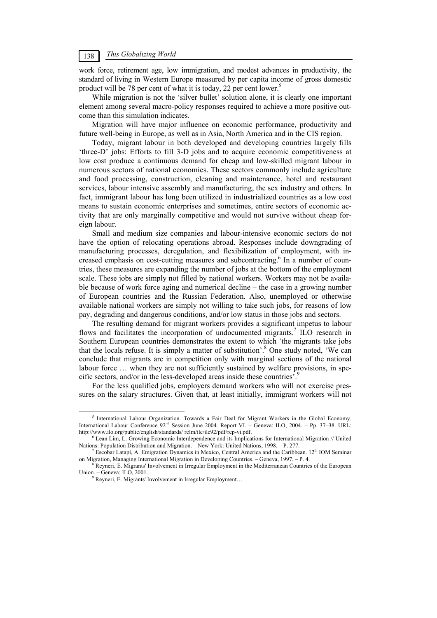work force, retirement age, low immigration, and modest advances in productivity, the standard of living in Western Europe measured by per capita income of gross domestic product will be 78 per cent of what it is today, 22 per cent lower.<sup>5</sup>

While migration is not the 'silver bullet' solution alone, it is clearly one important element among several macro-policy responses required to achieve a more positive outcome than this simulation indicates.

Migration will have major influence on economic performance, productivity and future well-being in Europe, as well as in Asia, North America and in the CIS region.

Today, migrant labour in both developed and developing countries largely fills 'three-D' jobs: Efforts to fill 3-D jobs and to acquire economic competitiveness at low cost produce a continuous demand for cheap and low-skilled migrant labour in numerous sectors of national economies. These sectors commonly include agriculture and food processing, construction, cleaning and maintenance, hotel and restaurant services, labour intensive assembly and manufacturing, the sex industry and others. In fact, immigrant labour has long been utilized in industrialized countries as a low cost means to sustain economic enterprises and sometimes, entire sectors of economic activity that are only marginally competitive and would not survive without cheap foreign labour.

Small and medium size companies and labour-intensive economic sectors do not have the option of relocating operations abroad. Responses include downgrading of manufacturing processes, deregulation, and flexibilization of employment, with increased emphasis on cost-cutting measures and subcontracting.<sup>6</sup> In a number of countries, these measures are expanding the number of jobs at the bottom of the employment scale. These jobs are simply not filled by national workers. Workers may not be available because of work force aging and numerical decline – the case in a growing number of European countries and the Russian Federation. Also, unemployed or otherwise available national workers are simply not willing to take such jobs, for reasons of low pay, degrading and dangerous conditions, and/or low status in those jobs and sectors.

The resulting demand for migrant workers provides a significant impetus to labour flows and facilitates the incorporation of undocumented migrants.<sup>7</sup> ILO research in Southern European countries demonstrates the extent to which 'the migrants take jobs that the locals refuse. It is simply a matter of substitution'.<sup>8</sup> One study noted, 'We can conclude that migrants are in competition only with marginal sections of the national labour force … when they are not sufficiently sustained by welfare provisions, in specific sectors, and/or in the less-developed areas inside these countries'.<sup>9</sup>

For the less qualified jobs, employers demand workers who will not exercise pressures on the salary structures. Given that, at least initially, immigrant workers will not

 $rac{1}{5}$ <sup>5</sup> International Labour Organization. Towards a Fair Deal for Migrant Workers in the Global Economy. International Labour Conference 92nd Session June 2004. Report VI. – Geneva: ILO, 2004. – Pp. 37–38. URL: http://www.ilo.org/public/english/standards/ relm/ilc/ilc92/pdf/rep-vi.pdf. 6

Lean Lim, L. Growing Economic Interdependence and its Implications for International Migration // United Nations: Population Distribution and Migration. - New York: United Nations, 1998. - P. 277.

Escobar Latapí, A. Emigration Dynamics in Mexico, Central America and the Caribbean.  $12<sup>th</sup>$  IOM Seminar on Migration, Managing International Migration in Developing Countries. - Geneva, 1997. - P. 4.

Reyneri, E. Migrants' Involvement in Irregular Employment in the Mediterranean Countries of the European  $Union - Geneva: ILO, 2001$ 

<sup>&</sup>lt;sup>9</sup> Reyneri, E. Migrants' Involvement in Irregular Employment...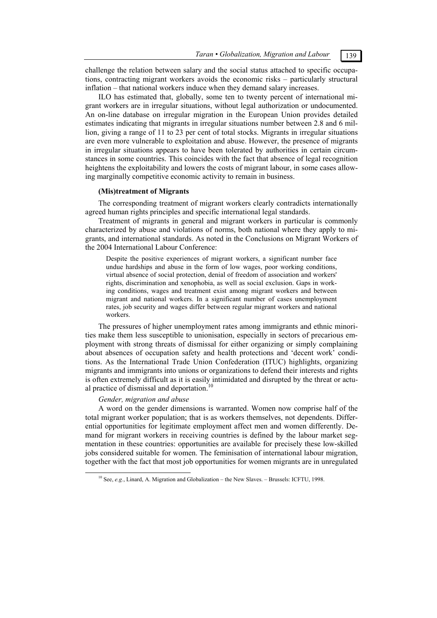challenge the relation between salary and the social status attached to specific occupations, contracting migrant workers avoids the economic risks – particularly structural inflation – that national workers induce when they demand salary increases.

ILO has estimated that, globally, some ten to twenty percent of international migrant workers are in irregular situations, without legal authorization or undocumented. An on-line database on irregular migration in the European Union provides detailed estimates indicating that migrants in irregular situations number between 2.8 and 6 million, giving a range of 11 to 23 per cent of total stocks. Migrants in irregular situations are even more vulnerable to exploitation and abuse. However, the presence of migrants in irregular situations appears to have been tolerated by authorities in certain circumstances in some countries. This coincides with the fact that absence of legal recognition heightens the exploitability and lowers the costs of migrant labour, in some cases allowing marginally competitive economic activity to remain in business.

### **(Mis)treatment of Migrants**

The corresponding treatment of migrant workers clearly contradicts internationally agreed human rights principles and specific international legal standards.

Treatment of migrants in general and migrant workers in particular is commonly characterized by abuse and violations of norms, both national where they apply to migrants, and international standards. As noted in the Conclusions on Migrant Workers of the 2004 International Labour Conference:

Despite the positive experiences of migrant workers, a significant number face undue hardships and abuse in the form of low wages, poor working conditions, virtual absence of social protection, denial of freedom of association and workers' rights, discrimination and xenophobia, as well as social exclusion. Gaps in working conditions, wages and treatment exist among migrant workers and between migrant and national workers. In a significant number of cases unemployment rates, job security and wages differ between regular migrant workers and national workers.

The pressures of higher unemployment rates among immigrants and ethnic minorities make them less susceptible to unionisation, especially in sectors of precarious employment with strong threats of dismissal for either organizing or simply complaining about absences of occupation safety and health protections and 'decent work' conditions. As the International Trade Union Confederation (ITUC) highlights, organizing migrants and immigrants into unions or organizations to defend their interests and rights is often extremely difficult as it is easily intimidated and disrupted by the threat or actual practice of dismissal and deportation.<sup>10</sup>

### *Gender, migration and abuse*

A word on the gender dimensions is warranted. Women now comprise half of the total migrant worker population; that is as workers themselves, not dependents. Differential opportunities for legitimate employment affect men and women differently. Demand for migrant workers in receiving countries is defined by the labour market segmentation in these countries: opportunities are available for precisely these low-skilled jobs considered suitable for women. The feminisation of international labour migration, together with the fact that most job opportunities for women migrants are in unregulated

<sup>&</sup>lt;sup>10</sup> See, *e.g.*, Linard, A. Migration and Globalization – the New Slaves. – Brussels: ICFTU, 1998.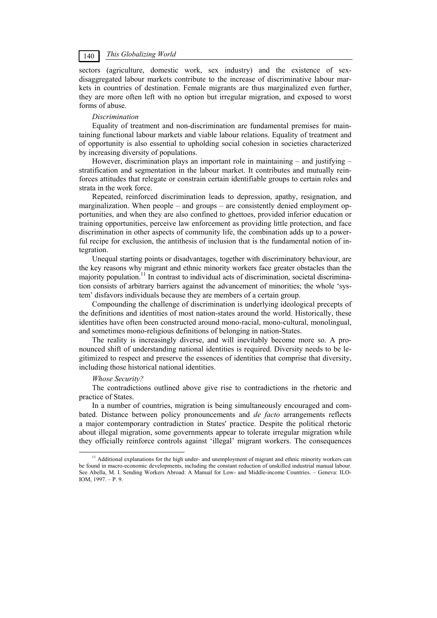sectors (agriculture, domestic work, sex industry) and the existence of sexdisaggregated labour markets contribute to the increase of discriminative labour markets in countries of destination. Female migrants are thus marginalized even further, they are more often left with no option but irregular migration, and exposed to worst forms of abuse.

### *Discrimination*

Equality of treatment and non-discrimination are fundamental premises for maintaining functional labour markets and viable labour relations. Equality of treatment and of opportunity is also essential to upholding social cohesion in societies characterized by increasing diversity of populations.

However, discrimination plays an important role in maintaining  $-$  and justifying  $$ stratification and segmentation in the labour market. It contributes and mutually reinforces attitudes that relegate or constrain certain identifiable groups to certain roles and strata in the work force.

Repeated, reinforced discrimination leads to depression, apathy, resignation, and marginalization. When people – and groups – are consistently denied employment opportunities, and when they are also confined to ghettoes, provided inferior education or training opportunities, perceive law enforcement as providing little protection, and face discrimination in other aspects of community life, the combination adds up to a powerful recipe for exclusion, the antithesis of inclusion that is the fundamental notion of integration.

Unequal starting points or disadvantages, together with discriminatory behaviour, are the key reasons why migrant and ethnic minority workers face greater obstacles than the majority population.<sup>11</sup> In contrast to individual acts of discrimination, societal discrimination consists of arbitrary barriers against the advancement of minorities; the whole 'system' disfavors individuals because they are members of a certain group.

Compounding the challenge of discrimination is underlying ideological precepts of the definitions and identities of most nation-states around the world. Historically, these identities have often been constructed around mono-racial, mono-cultural, monolingual, and sometimes mono-religious definitions of belonging in nation-States.

The reality is increasingly diverse, and will inevitably become more so. A pronounced shift of understanding national identities is required. Diversity needs to be legitimized to respect and preserve the essences of identities that comprise that diversity, including those historical national identities.

#### *Whose Security?*

The contradictions outlined above give rise to contradictions in the rhetoric and practice of States.

In a number of countries, migration is being simultaneously encouraged and combated. Distance between policy pronouncements and *de facto* arrangements reflects a major contemporary contradiction in States' practice. Despite the political rhetoric about illegal migration, some governments appear to tolerate irregular migration while they officially reinforce controls against 'illegal' migrant workers. The consequences

 $11$  Additional explanations for the high under- and unemployment of migrant and ethnic minority workers can be found in macro-economic developments, including the constant reduction of unskilled industrial manual labour. See Abella, M. I. Sending Workers Abroad: A Manual for Low- and Middle-income Countries. – Geneva: ILO-IOM, 1997. – P. 9.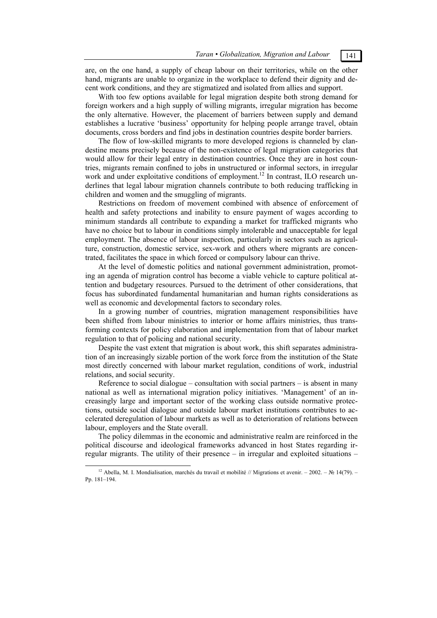are, on the one hand, a supply of cheap labour on their territories, while on the other hand, migrants are unable to organize in the workplace to defend their dignity and decent work conditions, and they are stigmatized and isolated from allies and support.

With too few options available for legal migration despite both strong demand for foreign workers and a high supply of willing migrants, irregular migration has become the only alternative. However, the placement of barriers between supply and demand establishes a lucrative 'business' opportunity for helping people arrange travel, obtain documents, cross borders and find jobs in destination countries despite border barriers.

The flow of low-skilled migrants to more developed regions is channeled by clandestine means precisely because of the non-existence of legal migration categories that would allow for their legal entry in destination countries. Once they are in host countries, migrants remain confined to jobs in unstructured or informal sectors, in irregular work and under exploitative conditions of employment.<sup>12</sup> In contrast, ILO research underlines that legal labour migration channels contribute to both reducing trafficking in children and women and the smuggling of migrants.

Restrictions on freedom of movement combined with absence of enforcement of health and safety protections and inability to ensure payment of wages according to minimum standards all contribute to expanding a market for trafficked migrants who have no choice but to labour in conditions simply intolerable and unacceptable for legal employment. The absence of labour inspection, particularly in sectors such as agriculture, construction, domestic service, sex-work and others where migrants are concentrated, facilitates the space in which forced or compulsory labour can thrive.

At the level of domestic politics and national government administration, promoting an agenda of migration control has become a viable vehicle to capture political attention and budgetary resources. Pursued to the detriment of other considerations, that focus has subordinated fundamental humanitarian and human rights considerations as well as economic and developmental factors to secondary roles.

In a growing number of countries, migration management responsibilities have been shifted from labour ministries to interior or home affairs ministries, thus transforming contexts for policy elaboration and implementation from that of labour market regulation to that of policing and national security.

Despite the vast extent that migration is about work, this shift separates administration of an increasingly sizable portion of the work force from the institution of the State most directly concerned with labour market regulation, conditions of work, industrial relations, and social security.

Reference to social dialogue – consultation with social partners – is absent in many national as well as international migration policy initiatives. 'Management' of an increasingly large and important sector of the working class outside normative protections, outside social dialogue and outside labour market institutions contributes to accelerated deregulation of labour markets as well as to deterioration of relations between labour, employers and the State overall.

The policy dilemmas in the economic and administrative realm are reinforced in the political discourse and ideological frameworks advanced in host States regarding irregular migrants. The utility of their presence – in irregular and exploited situations –

<sup>&</sup>lt;sup>12</sup> Abella, M. I. Mondialisation, marchés du travail et mobilité // Migrations et avenir. – 2002. – № 14(79). – Pp. 181–194.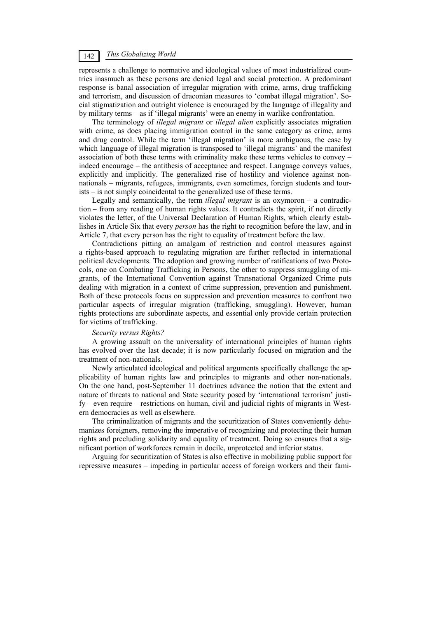represents a challenge to normative and ideological values of most industrialized countries inasmuch as these persons are denied legal and social protection. A predominant response is banal association of irregular migration with crime, arms, drug trafficking and terrorism, and discussion of draconian measures to 'combat illegal migration'. Social stigmatization and outright violence is encouraged by the language of illegality and by military terms – as if 'illegal migrants' were an enemy in warlike confrontation.

The terminology of *illegal migrant* or *illegal alien* explicitly associates migration with crime, as does placing immigration control in the same category as crime, arms and drug control. While the term 'illegal migration' is more ambiguous, the ease by which language of illegal migration is transposed to 'illegal migrants' and the manifest association of both these terms with criminality make these terms vehicles to convey – indeed encourage – the antithesis of acceptance and respect. Language conveys values, explicitly and implicitly. The generalized rise of hostility and violence against nonnationals – migrants, refugees, immigrants, even sometimes, foreign students and tourists – is not simply coincidental to the generalized use of these terms.

Legally and semantically, the term *illegal migrant* is an oxymoron – a contradiction – from any reading of human rights values. It contradicts the spirit, if not directly violates the letter, of the Universal Declaration of Human Rights, which clearly establishes in Article Six that every *person* has the right to recognition before the law, and in Article 7, that every person has the right to equality of treatment before the law.

Contradictions pitting an amalgam of restriction and control measures against a rights-based approach to regulating migration are further reflected in international political developments. The adoption and growing number of ratifications of two Protocols, one on Combating Trafficking in Persons, the other to suppress smuggling of migrants, of the International Convention against Transnational Organized Crime puts dealing with migration in a context of crime suppression, prevention and punishment. Both of these protocols focus on suppression and prevention measures to confront two particular aspects of irregular migration (trafficking, smuggling). However, human rights protections are subordinate aspects, and essential only provide certain protection for victims of trafficking.

### *Security versus Rights?*

A growing assault on the universality of international principles of human rights has evolved over the last decade; it is now particularly focused on migration and the treatment of non-nationals.

Newly articulated ideological and political arguments specifically challenge the applicability of human rights law and principles to migrants and other non-nationals. On the one hand, post-September 11 doctrines advance the notion that the extent and nature of threats to national and State security posed by 'international terrorism' justify – even require – restrictions on human, civil and judicial rights of migrants in Western democracies as well as elsewhere.

The criminalization of migrants and the securitization of States conveniently dehumanizes foreigners, removing the imperative of recognizing and protecting their human rights and precluding solidarity and equality of treatment. Doing so ensures that a significant portion of workforces remain in docile, unprotected and inferior status.

Arguing for securitization of States is also effective in mobilizing public support for repressive measures – impeding in particular access of foreign workers and their fami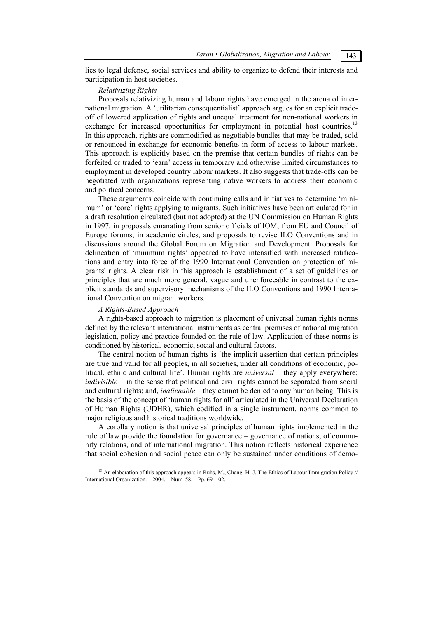lies to legal defense, social services and ability to organize to defend their interests and participation in host societies.

#### *Relativizing Rights*

Proposals relativizing human and labour rights have emerged in the arena of international migration. A 'utilitarian consequentialist' approach argues for an explicit tradeoff of lowered application of rights and unequal treatment for non-national workers in exchange for increased opportunities for employment in potential host countries.<sup>13</sup> In this approach, rights are commodified as negotiable bundles that may be traded, sold or renounced in exchange for economic benefits in form of access to labour markets. This approach is explicitly based on the premise that certain bundles of rights can be forfeited or traded to 'earn' access in temporary and otherwise limited circumstances to employment in developed country labour markets. It also suggests that trade-offs can be negotiated with organizations representing native workers to address their economic and political concerns.

These arguments coincide with continuing calls and initiatives to determine 'minimum' or 'core' rights applying to migrants. Such initiatives have been articulated for in a draft resolution circulated (but not adopted) at the UN Commission on Human Rights in 1997, in proposals emanating from senior officials of IOM, from EU and Council of Europe forums, in academic circles, and proposals to revise ILO Conventions and in discussions around the Global Forum on Migration and Development. Proposals for delineation of 'minimum rights' appeared to have intensified with increased ratifications and entry into force of the 1990 International Convention on protection of migrants' rights. A clear risk in this approach is establishment of a set of guidelines or principles that are much more general, vague and unenforceable in contrast to the explicit standards and supervisory mechanisms of the ILO Conventions and 1990 International Convention on migrant workers.

### *A Rights-Based Approach*

A rights-based approach to migration is placement of universal human rights norms defined by the relevant international instruments as central premises of national migration legislation, policy and practice founded on the rule of law. Application of these norms is conditioned by historical, economic, social and cultural factors.

The central notion of human rights is 'the implicit assertion that certain principles are true and valid for all peoples, in all societies, under all conditions of economic, political, ethnic and cultural life'. Human rights are *universal* – they apply everywhere; *indivisible* – in the sense that political and civil rights cannot be separated from social and cultural rights; and, *inalienable* – they cannot be denied to any human being. This is the basis of the concept of 'human rights for all' articulated in the Universal Declaration of Human Rights (UDHR), which codified in a single instrument, norms common to major religious and historical traditions worldwide.

A corollary notion is that universal principles of human rights implemented in the rule of law provide the foundation for governance – governance of nations, of community relations, and of international migration. This notion reflects historical experience that social cohesion and social peace can only be sustained under conditions of demo-

<sup>&</sup>lt;sup>13</sup> An elaboration of this approach appears in Ruhs, M., Chang, H.-J. The Ethics of Labour Immigration Policy  $//$ International Organization. *–* 2004. – Num. 58. – Pp. 69–102.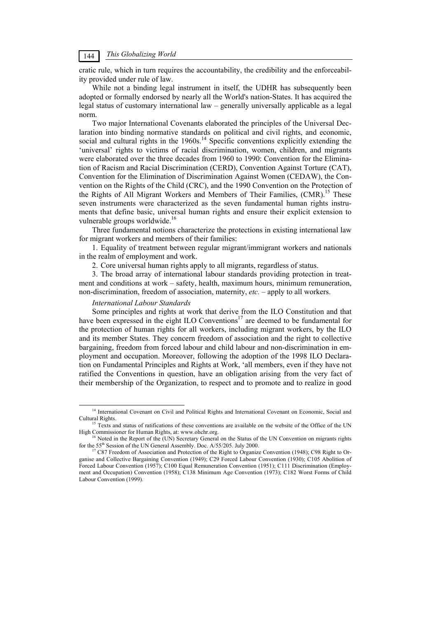cratic rule, which in turn requires the accountability, the credibility and the enforceability provided under rule of law.

While not a binding legal instrument in itself, the UDHR has subsequently been adopted or formally endorsed by nearly all the World's nation-States. It has acquired the legal status of customary international law – generally universally applicable as a legal norm.

Two major International Covenants elaborated the principles of the Universal Declaration into binding normative standards on political and civil rights, and economic, social and cultural rights in the  $1960s$ .<sup>14</sup> Specific conventions explicitly extending the 'universal' rights to victims of racial discrimination, women, children, and migrants were elaborated over the three decades from 1960 to 1990: Convention for the Elimination of Racism and Racial Discrimination (CERD), Convention Against Torture (CAT), Convention for the Elimination of Discrimination Against Women (CEDAW), the Convention on the Rights of the Child (CRC), and the 1990 Convention on the Protection of the Rights of All Migrant Workers and Members of Their Families, (CMR).<sup>15</sup> These seven instruments were characterized as the seven fundamental human rights instruments that define basic, universal human rights and ensure their explicit extension to vulnerable groups worldwide.<sup>16</sup>

Three fundamental notions characterize the protections in existing international law for migrant workers and members of their families:

1. Equality of treatment between regular migrant/immigrant workers and nationals in the realm of employment and work.

2. Core universal human rights apply to all migrants, regardless of status.

3. The broad array of international labour standards providing protection in treatment and conditions at work – safety, health, maximum hours, minimum remuneration, non-discrimination, freedom of association, maternity, *etc.* – apply to all workers.

### *International Labour Standards*

Some principles and rights at work that derive from the ILO Constitution and that have been expressed in the eight ILO Conventions<sup>17</sup> are deemed to be fundamental for the protection of human rights for all workers, including migrant workers, by the ILO and its member States. They concern freedom of association and the right to collective bargaining, freedom from forced labour and child labour and non-discrimination in employment and occupation. Moreover, following the adoption of the 1998 ILO Declaration on Fundamental Principles and Rights at Work, 'all members, even if they have not ratified the Conventions in question, have an obligation arising from the very fact of their membership of the Organization, to respect and to promote and to realize in good

<sup>&</sup>lt;sup>14</sup> International Covenant on Civil and Political Rights and International Covenant on Economic, Social and

Cultural Rights.<br><sup>15</sup> Texts and status of ratifications of these conventions are available on the website of the Office of the UN<br>High Commissioner for Human Rights, at: www.ohchr.org.

<sup>&</sup>lt;sup>16</sup> Noted in the Report of the (UN) Secretary General on the Status of the UN Convention on migrants rights for the 55<sup>th</sup> Session of the UN General Assembly. Doc.  $A/55/205$ . July 2000.

 $^{17}$  C87 Freedom of Association and Protection of the Right to Organize Convention (1948); C98 Right to Organise and Collective Bargaining Convention (1949); C29 Forced Labour Convention (1930); C105 Abolition of Forced Labour Convention (1957); C100 Equal Remuneration Convention (1951); C111 Discrimination (Employment and Occupation) Convention (1958); C138 Minimum Age Convention (1973); C182 Worst Forms of Child Labour Convention (1999).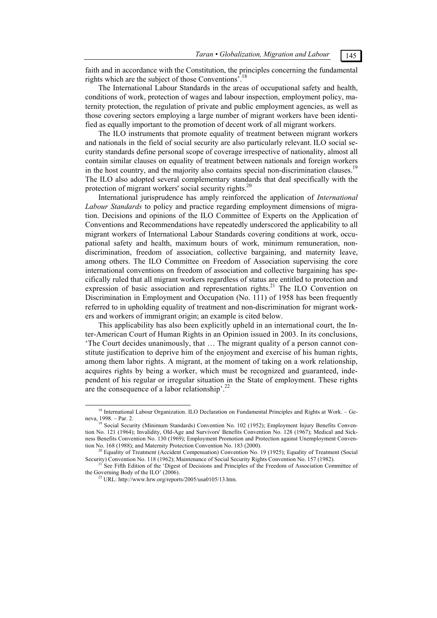faith and in accordance with the Constitution, the principles concerning the fundamental rights which are the subject of those Conventions'.18

The International Labour Standards in the areas of occupational safety and health, conditions of work, protection of wages and labour inspection, employment policy, maternity protection, the regulation of private and public employment agencies, as well as those covering sectors employing a large number of migrant workers have been identified as equally important to the promotion of decent work of all migrant workers.

The ILO instruments that promote equality of treatment between migrant workers and nationals in the field of social security are also particularly relevant. ILO social security standards define personal scope of coverage irrespective of nationality, almost all contain similar clauses on equality of treatment between nationals and foreign workers in the host country, and the majority also contains special non-discrimination clauses.<sup>19</sup> The ILO also adopted several complementary standards that deal specifically with the protection of migrant workers' social security rights.<sup>20</sup>

International jurisprudence has amply reinforced the application of *International Labour Standards* to policy and practice regarding employment dimensions of migration. Decisions and opinions of the ILO Committee of Experts on the Application of Conventions and Recommendations have repeatedly underscored the applicability to all migrant workers of International Labour Standards covering conditions at work, occupational safety and health, maximum hours of work, minimum remuneration, nondiscrimination, freedom of association, collective bargaining, and maternity leave, among others. The ILO Committee on Freedom of Association supervising the core international conventions on freedom of association and collective bargaining has specifically ruled that all migrant workers regardless of status are entitled to protection and expression of basic association and representation rights.<sup>21</sup> The ILO Convention on Discrimination in Employment and Occupation (No. 111) of 1958 has been frequently referred to in upholding equality of treatment and non-discrimination for migrant workers and workers of immigrant origin; an example is cited below.

This applicability has also been explicitly upheld in an international court, the Inter-American Court of Human Rights in an Opinion issued in 2003. In its conclusions, 'The Court decides unanimously, that … The migrant quality of a person cannot constitute justification to deprive him of the enjoyment and exercise of his human rights, among them labor rights. A migrant, at the moment of taking on a work relationship, acquires rights by being a worker, which must be recognized and guaranteed, independent of his regular or irregular situation in the State of employment. These rights are the consequence of a labor relationship'.<sup>22</sup>

<sup>&</sup>lt;sup>18</sup> International Labour Organization. ILO Declaration on Fundamental Principles and Rights at Work. - Geneva, 1998. – Par. 2.<br><sup>19</sup> Social Security (Minimum Standards) Convention No. 102 (1952); Employment Injury Benefits Conven-

tion No. 121 (1964); Invalidity, Old-Age and Survivors' Benefits Convention No. 128 (1967); Medical and Sickness Benefits Convention No. 130 (1969); Employment Promotion and Protection against Unemployment Convention No. 168 (1988); and Maternity Protection Convention No. 183 (2000).

<sup>&</sup>lt;sup>20</sup> Equality of Treatment (Accident Compensation) Convention No. 19 (1925); Equality of Treatment (Social Security) Convention No. 118 (1962); Maintenance of Social Security Rights Convention No. 157 (1982).

<sup>&</sup>lt;sup>21</sup> See Fifth Edition of the 'Digest of Decisions and Principles of the Freedom of Association Committee of the Governing Body of the ILO' (2006).

<sup>&</sup>lt;sup>22</sup> URL: http://www.hrw.org/reports/2005/usa0105/13.htm.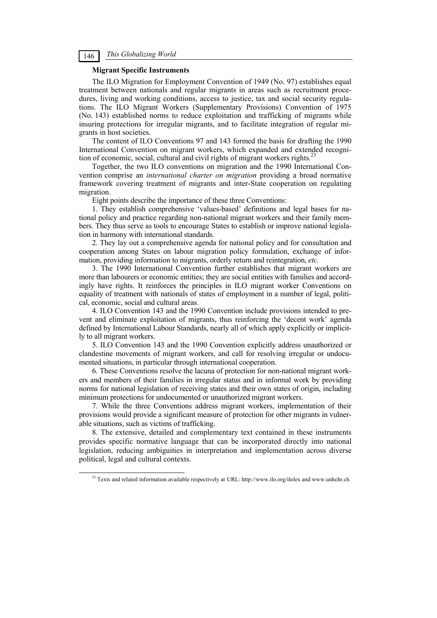### **Migrant Specific Instruments**

The ILO Migration for Employment Convention of 1949 (No. 97) establishes equal treatment between nationals and regular migrants in areas such as recruitment procedures, living and working conditions, access to justice, tax and social security regulations. The ILO Migrant Workers (Supplementary Provisions) Convention of 1975 (No. 143) established norms to reduce exploitation and trafficking of migrants while insuring protections for irregular migrants, and to facilitate integration of regular migrants in host societies.

The content of ILO Conventions 97 and 143 formed the basis for drafting the 1990 International Convention on migrant workers, which expanded and extended recognition of economic, social, cultural and civil rights of migrant workers rights.<sup>23</sup>

Together, the two ILO conventions on migration and the 1990 International Convention comprise an *international charter on migration* providing a broad normative framework covering treatment of migrants and inter-State cooperation on regulating migration.

Eight points describe the importance of these three Conventions:

1. They establish comprehensive 'values-based' definitions and legal bases for national policy and practice regarding non-national migrant workers and their family members. They thus serve as tools to encourage States to establish or improve national legislation in harmony with international standards.

2. They lay out a comprehensive agenda for national policy and for consultation and cooperation among States on labour migration policy formulation, exchange of information, providing information to migrants, orderly return and reintegration, *etc.*

3. The 1990 International Convention further establishes that migrant workers are more than labourers or economic entities; they are social entities with families and accordingly have rights. It reinforces the principles in ILO migrant worker Conventions on equality of treatment with nationals of states of employment in a number of legal, political, economic, social and cultural areas.

4. ILO Convention 143 and the 1990 Convention include provisions intended to prevent and eliminate exploitation of migrants, thus reinforcing the 'decent work' agenda defined by International Labour Standards, nearly all of which apply explicitly or implicitly to all migrant workers.

5. ILO Convention 143 and the 1990 Convention explicitly address unauthorized or clandestine movements of migrant workers, and call for resolving irregular or undocumented situations, in particular through international cooperation.

6. These Conventions resolve the lacuna of protection for non-national migrant workers and members of their families in irregular status and in informal work by providing norms for national legislation of receiving states and their own states of origin, including minimum protections for undocumented or unauthorized migrant workers.

7. While the three Conventions address migrant workers, implementation of their provisions would provide a significant measure of protection for other migrants in vulnerable situations, such as victims of trafficking.

8. The extensive, detailed and complementary text contained in these instruments provides specific normative language that can be incorporated directly into national legislation, reducing ambiguities in interpretation and implementation across diverse political, legal and cultural contexts.

 <sup>23</sup> Texts and related information available respectively at URL: http://www.ilo.org/ilolex and www.unhchr.ch.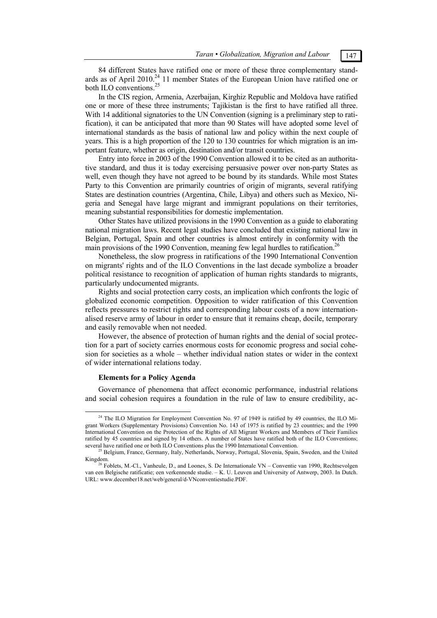84 different States have ratified one or more of these three complementary standards as of April 2010.<sup>24</sup> 11 member States of the European Union have ratified one or both ILO conventions.<sup>25</sup>

In the CIS region, Armenia, Azerbaijan, Kirghiz Republic and Moldova have ratified one or more of these three instruments; Tajikistan is the first to have ratified all three. With 14 additional signatories to the UN Convention (signing is a preliminary step to ratification), it can be anticipated that more than 90 States will have adopted some level of international standards as the basis of national law and policy within the next couple of years. This is a high proportion of the 120 to 130 countries for which migration is an important feature, whether as origin, destination and/or transit countries.

Entry into force in 2003 of the 1990 Convention allowed it to be cited as an authoritative standard, and thus it is today exercising persuasive power over non-party States as well, even though they have not agreed to be bound by its standards. While most States Party to this Convention are primarily countries of origin of migrants, several ratifying States are destination countries (Argentina, Chile, Libya) and others such as Mexico, Nigeria and Senegal have large migrant and immigrant populations on their territories, meaning substantial responsibilities for domestic implementation.

Other States have utilized provisions in the 1990 Convention as a guide to elaborating national migration laws. Recent legal studies have concluded that existing national law in Belgian, Portugal, Spain and other countries is almost entirely in conformity with the main provisions of the 1990 Convention, meaning few legal hurdles to ratification.26

Nonetheless, the slow progress in ratifications of the 1990 International Convention on migrants' rights and of the ILO Conventions in the last decade symbolize a broader political resistance to recognition of application of human rights standards to migrants, particularly undocumented migrants.

Rights and social protection carry costs, an implication which confronts the logic of globalized economic competition. Opposition to wider ratification of this Convention reflects pressures to restrict rights and corresponding labour costs of a now internationalised reserve army of labour in order to ensure that it remains cheap, docile, temporary and easily removable when not needed.

However, the absence of protection of human rights and the denial of social protection for a part of society carries enormous costs for economic progress and social cohesion for societies as a whole – whether individual nation states or wider in the context of wider international relations today.

### **Elements for a Policy Agenda**

Governance of phenomena that affect economic performance, industrial relations and social cohesion requires a foundation in the rule of law to ensure credibility, ac-

<sup>&</sup>lt;sup>24</sup> The ILO Migration for Employment Convention No. 97 of 1949 is ratified by 49 countries, the ILO Migrant Workers (Supplementary Provisions) Convention No. 143 of 1975 is ratified by 23 countries; and the 1990 International Convention on the Protection of the Rights of All Migrant Workers and Members of Their Families ratified by 45 countries and signed by 14 others. A number of States have ratified both of the ILO Conventions;<br>several have ratified one or both ILO Conventions plus the 1990 International Convention.

<sup>&</sup>lt;sup>25</sup> Belgium, France, Germany, Italy, Netherlands, Norway, Portugal, Slovenia, Spain, Sweden, and the United Kingdom.<br><sup>26</sup> Foblets, M.-Cl., Vanheule, D., and Loones, S. De Internationale VN – Conventie van 1990, Rechtsevolgen

van een Belgische ratificatie; een verkennende studie. – K. U. Leuven and University of Antwerp, 2003. In Dutch. URL: www.december18.net/web/general/d-VNconventiestudie.PDF.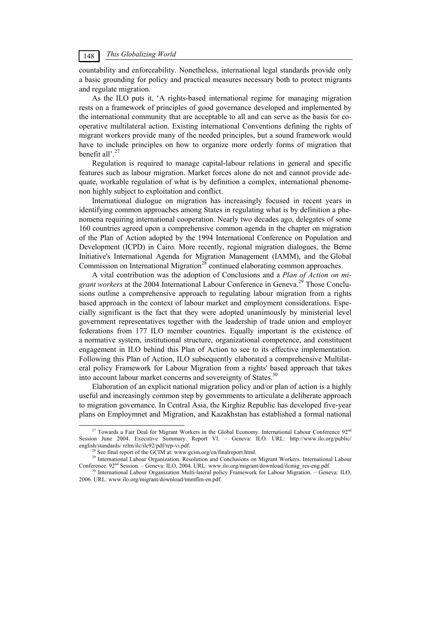countability and enforceability. Nonetheless, international legal standards provide only a basic grounding for policy and practical measures necessary both to protect migrants and regulate migration.

As the ILO puts it, 'A rights-based international regime for managing migration rests on a framework of principles of good governance developed and implemented by the international community that are acceptable to all and can serve as the basis for cooperative multilateral action. Existing international Conventions defining the rights of migrant workers provide many of the needed principles, but a sound framework would have to include principles on how to organize more orderly forms of migration that benefit all'.<sup>27</sup>

Regulation is required to manage capital-labour relations in general and specific features such as labour migration. Market forces alone do not and cannot provide adequate, workable regulation of what is by definition a complex, international phenomenon highly subject to exploitation and conflict.

International dialogue on migration has increasingly focused in recent years in identifying common approaches among States in regulating what is by definition a phenomena requiring international cooperation. Nearly two decades ago, delegates of some 160 countries agreed upon a comprehensive common agenda in the chapter on migration of the Plan of Action adopted by the 1994 International Conference on Population and Development (ICPD) in Cairo. More recently, regional migration dialogues, the Berne Initiative's International Agenda for Migration Management (IAMM), and the Global Commission on International Migration<sup>28</sup> continued elaborating common approaches.

A vital contribution was the adoption of Conclusions and a *Plan of Action on migrant workers* at the 2004 International Labour Conference in Geneva.<sup>29</sup> Those Conclusions outline a comprehensive approach to regulating labour migration from a rights based approach in the context of labour market and employment considerations. Especially significant is the fact that they were adopted unanimously by ministerial level government representatives together with the leadership of trade union and employer federations from 177 ILO member countries. Equally important is the existence of a normative system, institutional structure, organizational competence, and constituent engagement in ILO behind this Plan of Action to see to its effective implementation. Following this Plan of Action, ILO subsequently elaborated a comprehensive Multilateral policy Framework for Labour Migration from a rights' based approach that takes into account labour market concerns and sovereignty of States.<sup>30</sup>

Elaboration of an explicit national migration policy and/or plan of action is a highly useful and increasingly common step by governments to articulate a deliberate approach to migration governance. In Central Asia, the Kirghiz Republic has developed five-year plans on Employmnet and Migration, and Kazakhstan has established a formal national

<sup>&</sup>lt;sup>27</sup> Towards a Fair Deal for Migrant Workers in the Global Economy. International Labour Conference 92<sup>nd</sup> Session June 2004. Executive Summary. Report VI. – Geneva: ILO. URL: http://www.ilo.org/public/

<sup>&</sup>lt;sup>28</sup> See final report of the GCIM at: www.gcim.org/en/finalreport.html.<br><sup>29</sup> International Labour Organization. Resolution and Conclusions on Migrant Workers. International Labour Conference. 92<sup>nd</sup> Session. – Geneva: ILO, 2004. URL: www.ilo.org/migrant/download/ilcmig\_res-eng.pdf. <sup>30</sup> International Labour Organization Multi-lateral policy Framework for Labour Migration. – Geneva: ILO,

<sup>2006.</sup> URL: www.ilo.org/migrant/download/tmmflm-en.pdf.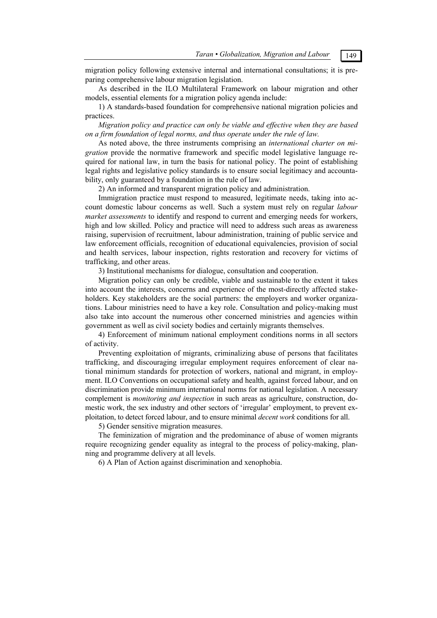migration policy following extensive internal and international consultations; it is preparing comprehensive labour migration legislation.

As described in the ILO Multilateral Framework on labour migration and other models, essential elements for a migration policy agenda include:

1) A standards-based foundation for comprehensive national migration policies and practices.

*Migration policy and practice can only be viable and effective when they are based on a firm foundation of legal norms, and thus operate under the rule of law.* 

As noted above, the three instruments comprising an *international charter on migration* provide the normative framework and specific model legislative language required for national law, in turn the basis for national policy. The point of establishing legal rights and legislative policy standards is to ensure social legitimacy and accountability, only guaranteed by a foundation in the rule of law.

2) An informed and transparent migration policy and administration.

Immigration practice must respond to measured, legitimate needs, taking into account domestic labour concerns as well. Such a system must rely on regular *labour market assessments* to identify and respond to current and emerging needs for workers, high and low skilled. Policy and practice will need to address such areas as awareness raising, supervision of recruitment, labour administration, training of public service and law enforcement officials, recognition of educational equivalencies, provision of social and health services, labour inspection, rights restoration and recovery for victims of trafficking, and other areas.

3) Institutional mechanisms for dialogue, consultation and cooperation.

Migration policy can only be credible, viable and sustainable to the extent it takes into account the interests, concerns and experience of the most-directly affected stakeholders. Key stakeholders are the social partners: the employers and worker organizations. Labour ministries need to have a key role. Consultation and policy-making must also take into account the numerous other concerned ministries and agencies within government as well as civil society bodies and certainly migrants themselves.

4) Enforcement of minimum national employment conditions norms in all sectors of activity.

Preventing exploitation of migrants, criminalizing abuse of persons that facilitates trafficking, and discouraging irregular employment requires enforcement of clear national minimum standards for protection of workers, national and migrant, in employment. ILO Conventions on occupational safety and health, against forced labour, and on discrimination provide minimum international norms for national legislation. A necessary complement is *monitoring and inspection* in such areas as agriculture, construction, domestic work, the sex industry and other sectors of 'irregular' employment, to prevent exploitation, to detect forced labour, and to ensure minimal *decent work* conditions for all.

5) Gender sensitive migration measures.

The feminization of migration and the predominance of abuse of women migrants require recognizing gender equality as integral to the process of policy-making, planning and programme delivery at all levels.

6) A Plan of Action against discrimination and xenophobia.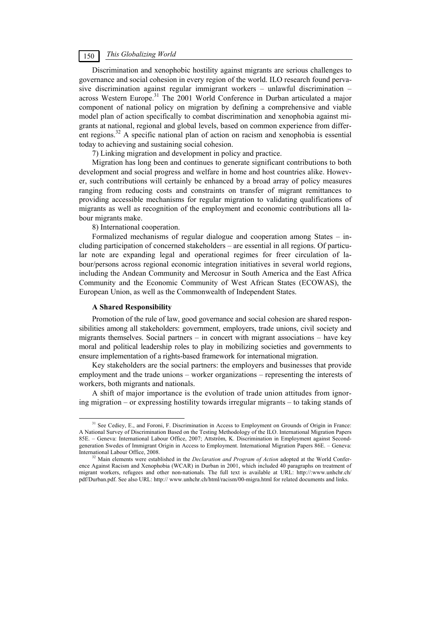Discrimination and xenophobic hostility against migrants are serious challenges to governance and social cohesion in every region of the world. ILO research found pervasive discrimination against regular immigrant workers – unlawful discrimination – across Western Europe.<sup>31</sup> The 2001 World Conference in Durban articulated a major component of national policy on migration by defining a comprehensive and viable model plan of action specifically to combat discrimination and xenophobia against migrants at national, regional and global levels, based on common experience from different regions.<sup>32</sup> A specific national plan of action on racism and xenophobia is essential today to achieving and sustaining social cohesion.

7) Linking migration and development in policy and practice.

Migration has long been and continues to generate significant contributions to both development and social progress and welfare in home and host countries alike. However, such contributions will certainly be enhanced by a broad array of policy measures ranging from reducing costs and constraints on transfer of migrant remittances to providing accessible mechanisms for regular migration to validating qualifications of migrants as well as recognition of the employment and economic contributions all labour migrants make.

8) International cooperation.

Formalized mechanisms of regular dialogue and cooperation among States – including participation of concerned stakeholders – are essential in all regions. Of particular note are expanding legal and operational regimes for freer circulation of labour/persons across regional economic integration initiatives in several world regions, including the Andean Community and Mercosur in South America and the East Africa Community and the Economic Community of West African States (ECOWAS), the European Union, as well as the Commonwealth of Independent States.

### **A Shared Responsibility**

Promotion of the rule of law, good governance and social cohesion are shared responsibilities among all stakeholders: government, employers, trade unions, civil society and migrants themselves. Social partners – in concert with migrant associations – have key moral and political leadership roles to play in mobilizing societies and governments to ensure implementation of a rights-based framework for international migration.

Key stakeholders are the social partners: the employers and businesses that provide employment and the trade unions – worker organizations – representing the interests of workers, both migrants and nationals.

A shift of major importance is the evolution of trade union attitudes from ignoring migration – or expressing hostility towards irregular migrants – to taking stands of

<sup>&</sup>lt;sup>31</sup> See Cediey, E., and Foroni, F. Discrimination in Access to Employment on Grounds of Origin in France: A National Survey of Discrimination Based on the Testing Methodology of the ILO. International Migration Papers 85E. – Geneva: International Labour Office, 2007; Attström, K. Discrimination in Employment against Secondgeneration Swedes of Immigrant Origin in Access to Employment. International Migration Papers 86E. – Geneva: International Labour Office, 2008. 32 Main elements were established in the *Declaration and Program of Action* adopted at the World Confer-

ence Against Racism and Xenophobia (WCAR) in Durban in 2001, which included 40 paragraphs on treatment of migrant workers, refugees and other non-nationals. The full text is available at URL: http://:www.unhchr.ch/ pdf/Durban.pdf. See also URL: http:// www.unhchr.ch/html/racism/00-migra.html for related documents and links.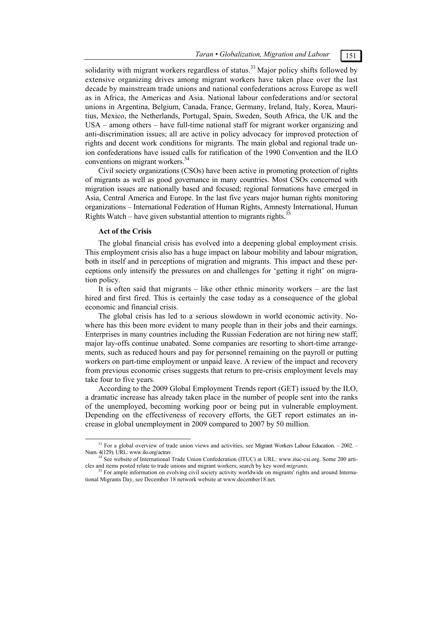*Taran • Globalization, Migration and Labour* 151

solidarity with migrant workers regardless of status.<sup>33</sup> Major policy shifts followed by extensive organizing drives among migrant workers have taken place over the last decade by mainstream trade unions and national confederations across Europe as well as in Africa, the Americas and Asia. National labour confederations and/or sectoral unions in Argentina, Belgium, Canada, France, Germany, Ireland, Italy, Korea, Mauritius, Mexico, the Netherlands, Portugal, Spain, Sweden, South Africa, the UK and the USA – among others – have full-time national staff for migrant worker organizing and anti-discrimination issues; all are active in policy advocacy for improved protection of rights and decent work conditions for migrants. The main global and regional trade union confederations have issued calls for ratification of the 1990 Convention and the ILO conventions on migrant workers.<sup>3</sup>

Civil society organizations (CSOs) have been active in promoting protection of rights of migrants as well as good governance in many countries. Most CSOs concerned with migration issues are nationally based and focused; regional formations have emerged in Asia, Central America and Europe. In the last five years major human rights monitoring organizations – International Federation of Human Rights, Amnesty International, Human Rights Watch – have given substantial attention to migrants rights.<sup>35</sup>

### **Act of the Crisis**

The global financial crisis has evolved into a deepening global employment crisis. This employment crisis also has a huge impact on labour mobility and labour migration, both in itself and in perceptions of migration and migrants. This impact and these perceptions only intensify the pressures on and challenges for 'getting it right' on migration policy.

It is often said that migrants – like other ethnic minority workers – are the last hired and first fired. This is certainly the case today as a consequence of the global economic and financial crisis.

The global crisis has led to a serious slowdown in world economic activity. Nowhere has this been more evident to many people than in their jobs and their earnings. Enterprises in many countries including the Russian Federation are not hiring new staff; major lay-offs continue unabated. Some companies are resorting to short-time arrangements, such as reduced hours and pay for personnel remaining on the payroll or putting workers on part-time employment or unpaid leave. A review of the impact and recovery from previous economic crises suggests that return to pre-crisis employment levels may take four to five years.

According to the 2009 Global Employment Trends report (GET) issued by the ILO, a dramatic increase has already taken place in the number of people sent into the ranks of the unemployed, becoming working poor or being put in vulnerable employment. Depending on the effectiveness of recovery efforts, the GET report estimates an increase in global unemployment in 2009 compared to 2007 by 50 million.

<sup>&</sup>lt;sup>33</sup> For a global overview of trade union views and activities, see Migrant Workers Labour Education. – 2002. –<br>Num. 4(129). URL: www.ilo.org/actrav.<br><sup>34</sup> See wabsite of International Trade Union Confederation (ITIC) at U

See website of International Trade Union Confederation (ITUC) at URL: www.ituc-csi.org. Some 200 articles and items posted relate to trade unions and migrant workers; search by key word *migrants*. <sup>35</sup> For ample information on evolving civil society activity worldwide on migrants' rights and around Interna-

tional Migrants Day, see December 18 network website at www.december18.net.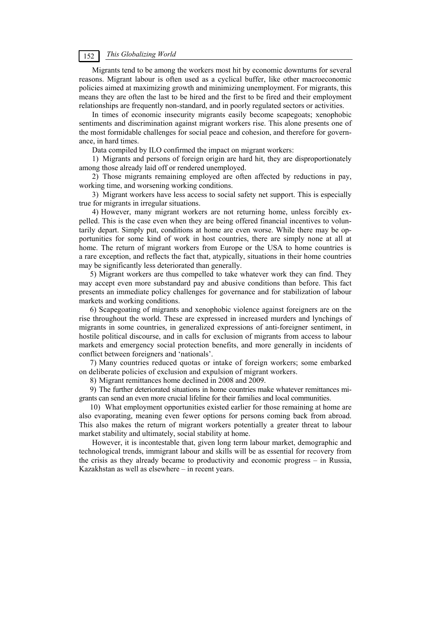Migrants tend to be among the workers most hit by economic downturns for several reasons. Migrant labour is often used as a cyclical buffer, like other macroeconomic policies aimed at maximizing growth and minimizing unemployment. For migrants, this means they are often the last to be hired and the first to be fired and their employment relationships are frequently non-standard, and in poorly regulated sectors or activities.

In times of economic insecurity migrants easily become scapegoats; xenophobic sentiments and discrimination against migrant workers rise. This alone presents one of the most formidable challenges for social peace and cohesion, and therefore for governance, in hard times.

Data compiled by ILO confirmed the impact on migrant workers:

1) Migrants and persons of foreign origin are hard hit, they are disproportionately among those already laid off or rendered unemployed.

2) Those migrants remaining employed are often affected by reductions in pay, working time, and worsening working conditions.

3) Migrant workers have less access to social safety net support. This is especially true for migrants in irregular situations.

4) However, many migrant workers are not returning home, unless forcibly expelled. This is the case even when they are being offered financial incentives to voluntarily depart. Simply put, conditions at home are even worse. While there may be opportunities for some kind of work in host countries, there are simply none at all at home. The return of migrant workers from Europe or the USA to home countries is a rare exception, and reflects the fact that, atypically, situations in their home countries may be significantly less deteriorated than generally.

5) Migrant workers are thus compelled to take whatever work they can find. They may accept even more substandard pay and abusive conditions than before. This fact presents an immediate policy challenges for governance and for stabilization of labour markets and working conditions.

6) Scapegoating of migrants and xenophobic violence against foreigners are on the rise throughout the world. These are expressed in increased murders and lynchings of migrants in some countries, in generalized expressions of anti-foreigner sentiment, in hostile political discourse, and in calls for exclusion of migrants from access to labour markets and emergency social protection benefits, and more generally in incidents of conflict between foreigners and 'nationals'.

7) Many countries reduced quotas or intake of foreign workers; some embarked on deliberate policies of exclusion and expulsion of migrant workers.

8) Migrant remittances home declined in 2008 and 2009.

9) The further deteriorated situations in home countries make whatever remittances migrants can send an even more crucial lifeline for their families and local communities.

10) What employment opportunities existed earlier for those remaining at home are also evaporating, meaning even fewer options for persons coming back from abroad. This also makes the return of migrant workers potentially a greater threat to labour market stability and ultimately, social stability at home.

However, it is incontestable that, given long term labour market, demographic and technological trends, immigrant labour and skills will be as essential for recovery from the crisis as they already became to productivity and economic progress – in Russia, Kazakhstan as well as elsewhere – in recent years.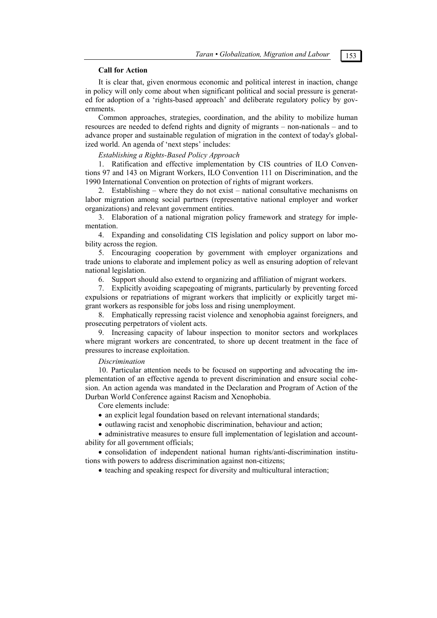### **Call for Action**

It is clear that, given enormous economic and political interest in inaction, change in policy will only come about when significant political and social pressure is generated for adoption of a 'rights-based approach' and deliberate regulatory policy by governments.

Common approaches, strategies, coordination, and the ability to mobilize human resources are needed to defend rights and dignity of migrants – non-nationals – and to advance proper and sustainable regulation of migration in the context of today's globalized world. An agenda of 'next steps' includes:

*Establishing a Rights-Based Policy Approach* 

1. Ratification and effective implementation by CIS countries of ILO Conventions 97 and 143 on Migrant Workers, ILO Convention 111 on Discrimination, and the 1990 International Convention on protection of rights of migrant workers.

2. Establishing – where they do not exist – national consultative mechanisms on labor migration among social partners (representative national employer and worker organizations) and relevant government entities.

3. Elaboration of a national migration policy framework and strategy for implementation.

4. Expanding and consolidating CIS legislation and policy support on labor mobility across the region.

5. Encouraging cooperation by government with employer organizations and trade unions to elaborate and implement policy as well as ensuring adoption of relevant national legislation.

6. Support should also extend to organizing and affiliation of migrant workers.

7. Explicitly avoiding scapegoating of migrants, particularly by preventing forced expulsions or repatriations of migrant workers that implicitly or explicitly target migrant workers as responsible for jobs loss and rising unemployment.

8. Emphatically repressing racist violence and xenophobia against foreigners, and prosecuting perpetrators of violent acts.

9. Increasing capacity of labour inspection to monitor sectors and workplaces where migrant workers are concentrated, to shore up decent treatment in the face of pressures to increase exploitation.

#### *Discrimination*

10. Particular attention needs to be focused on supporting and advocating the implementation of an effective agenda to prevent discrimination and ensure social cohesion. An action agenda was mandated in the Declaration and Program of Action of the Durban World Conference against Racism and Xenophobia.

Core elements include:

• an explicit legal foundation based on relevant international standards;

 $\bullet$  outlawing racist and xenophobic discrimination, behaviour and action;

 administrative measures to ensure full implementation of legislation and accountability for all government officials;

 consolidation of independent national human rights/anti-discrimination institutions with powers to address discrimination against non-citizens;

• teaching and speaking respect for diversity and multicultural interaction;